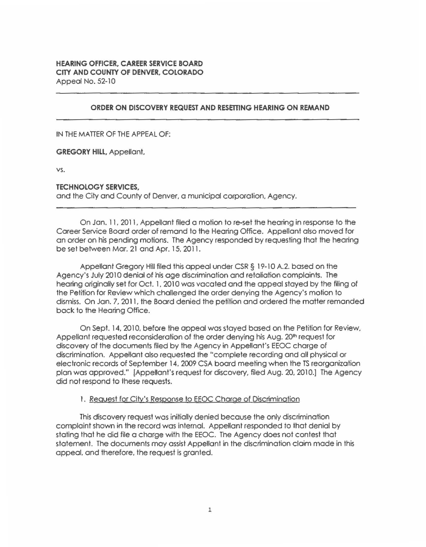## **ORDER ON DISCOVERY REQUEST ANO RESETTING HEARING ON REMAND**

IN THE MATTER OF THE APPEAL OF:

**GREGORY HILL,** Appellant.

vs.

#### **TECHNOLOGY SERVICES,**

and the City and County of Denver. a municipal corporation. Agency.

On Jan. 11. 2011, Appellant filed a motion to re-set the hearing in response to the Career Service Board order of remand to the Hearing Office. Appellant also moved for an order on his pending motions. The Agency responded by requesting that the hearing be set between Mar. 21 and Apr. 15, 2011.

Appellant Gregory Hill filed this appeal under CSR§ 19-10 A.2. based on the Agency's July 2010 denial of his age discrimination and retaliation complaints. The hearing originally set for Oct. 1. 2010 was vacated and the appeal stayed by the filing of the Petition for Review which challenged the order denying the Agency's motion to dismiss. On Jan. 7, 2011, the Board denied fhe petition and ordered the matter remanded back to the Hearing Office.

On Sept. 14, 2010, before the appeal was stayed based on the Petition for Review, Appellant requested reconsideration of the order denying his Aug. 20<sup>th</sup> request for discovery of the documents filed by the Agency in Appellant's EEOC charge of discrimination. Appellant also requested the "complete recording and all physical or electronic records of September 14. 2009 CSA board meeting when the TS reorganization plan was approved." {AppeHant's request for discovery, filed Aug. 20. 2010.] The Agency did not respond to these requests.

#### 1. Request for City's Response to EEOC Charge of Discrimination

This discovery request was initially denied because the only discrimination complaint shown in the record was internal. Appellant responded to that denial by stating that he did file a charge with the EEOC. The Agency does not contest that statement. The documents may assist Appellant in the discrimination claim made in this appeal. and therefore, the request is granted.